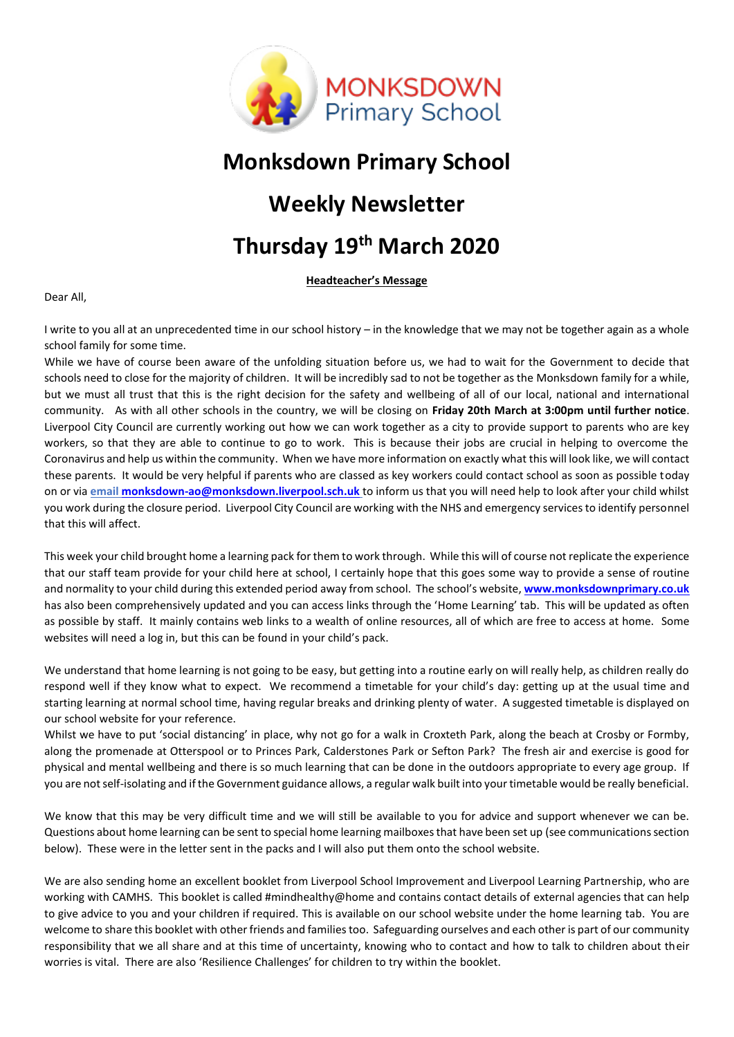

### **Monksdown Primary School**

# **Weekly Newsletter**

# **Thursday 19th March 2020**

**Headteacher's Message**

Dear All,

I write to you all at an unprecedented time in our school history – in the knowledge that we may not be together again as a whole school family for some time.

While we have of course been aware of the unfolding situation before us, we had to wait for the Government to decide that schools need to close for the majority of children. It will be incredibly sad to not be together as the Monksdown family for a while, but we must all trust that this is the right decision for the safety and wellbeing of all of our local, national and international community. As with all other schools in the country, we will be closing on **Friday 20th March at 3:00pm until further notice**. Liverpool City Council are currently working out how we can work together as a city to provide support to parents who are key workers, so that they are able to continue to go to work. This is because their jobs are crucial in helping to overcome the Coronavirus and help us within the community. When we have more information on exactly what this will look like, we will contact these parents. It would be very helpful if parents who are classed as key workers could contact school as soon as possible today on or via **emai[l monksdown-ao@monksdown.liverpool.sch.uk](mailto:monksdown-ao@monksdown.liverpool.sch.uk)** to inform us that you will need help to look after your child whilst you work during the closure period. Liverpool City Council are working with the NHS and emergency services to identify personnel that this will affect.

This week your child brought home a learning pack for them to work through. While this will of course not replicate the experience that our staff team provide for your child here at school, I certainly hope that this goes some way to provide a sense of routine and normality to your child during this extended period away from school. The school's website, **[www.monksdownprimary.co.uk](http://www.monksdownprimary.co.uk/)** has also been comprehensively updated and you can access links through the 'Home Learning' tab. This will be updated as often as possible by staff. It mainly contains web links to a wealth of online resources, all of which are free to access at home. Some websites will need a log in, but this can be found in your child's pack.

We understand that home learning is not going to be easy, but getting into a routine early on will really help, as children really do respond well if they know what to expect. We recommend a timetable for your child's day: getting up at the usual time and starting learning at normal school time, having regular breaks and drinking plenty of water. A suggested timetable is displayed on our school website for your reference.

Whilst we have to put 'social distancing' in place, why not go for a walk in Croxteth Park, along the beach at Crosby or Formby, along the promenade at Otterspool or to Princes Park, Calderstones Park or Sefton Park? The fresh air and exercise is good for physical and mental wellbeing and there is so much learning that can be done in the outdoors appropriate to every age group. If you are not self-isolating and if the Government guidance allows, a regular walk built into your timetable would be really beneficial.

We know that this may be very difficult time and we will still be available to you for advice and support whenever we can be. Questions about home learning can be sent to special home learning mailboxes that have been set up (see communications section below). These were in the letter sent in the packs and I will also put them onto the school website.

We are also sending home an excellent booklet from Liverpool School Improvement and Liverpool Learning Partnership, who are working with CAMHS. This booklet is called #mindhealthy@home and contains contact details of external agencies that can help to give advice to you and your children if required. This is available on our school website under the home learning tab. You are welcome to share this booklet with other friends and families too. Safeguarding ourselves and each other is part of our community responsibility that we all share and at this time of uncertainty, knowing who to contact and how to talk to children about their worries is vital. There are also 'Resilience Challenges' for children to try within the booklet.